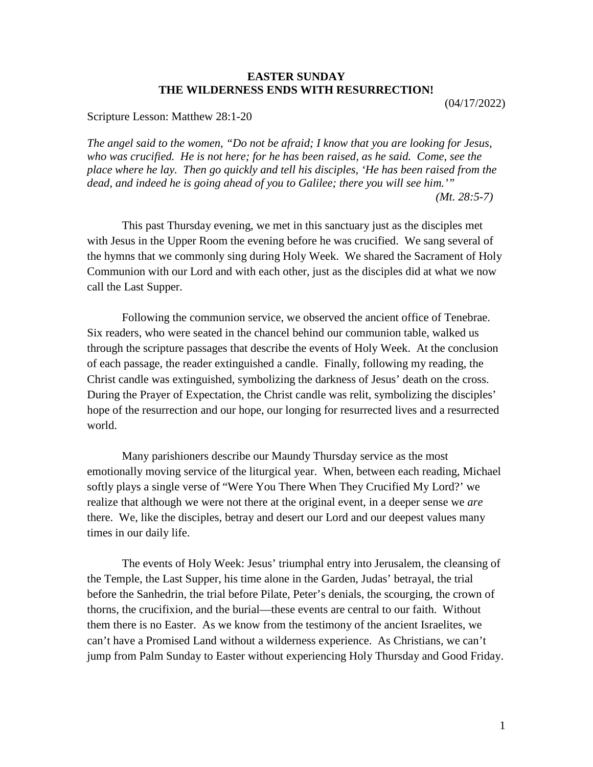## **EASTER SUNDAY THE WILDERNESS ENDS WITH RESURRECTION!**

(04/17/2022)

Scripture Lesson: Matthew 28:1-20

*The angel said to the women, "Do not be afraid; I know that you are looking for Jesus, who was crucified. He is not here; for he has been raised, as he said. Come, see the place where he lay. Then go quickly and tell his disciples, 'He has been raised from the dead, and indeed he is going ahead of you to Galilee; there you will see him.'" (Mt. 28:5-7)*

This past Thursday evening, we met in this sanctuary just as the disciples met with Jesus in the Upper Room the evening before he was crucified. We sang several of the hymns that we commonly sing during Holy Week. We shared the Sacrament of Holy Communion with our Lord and with each other, just as the disciples did at what we now call the Last Supper.

Following the communion service, we observed the ancient office of Tenebrae. Six readers, who were seated in the chancel behind our communion table, walked us through the scripture passages that describe the events of Holy Week. At the conclusion of each passage, the reader extinguished a candle. Finally, following my reading, the Christ candle was extinguished, symbolizing the darkness of Jesus' death on the cross. During the Prayer of Expectation, the Christ candle was relit, symbolizing the disciples' hope of the resurrection and our hope, our longing for resurrected lives and a resurrected world.

Many parishioners describe our Maundy Thursday service as the most emotionally moving service of the liturgical year. When, between each reading, Michael softly plays a single verse of "Were You There When They Crucified My Lord?' we realize that although we were not there at the original event, in a deeper sense we *are* there. We, like the disciples, betray and desert our Lord and our deepest values many times in our daily life.

The events of Holy Week: Jesus' triumphal entry into Jerusalem, the cleansing of the Temple, the Last Supper, his time alone in the Garden, Judas' betrayal, the trial before the Sanhedrin, the trial before Pilate, Peter's denials, the scourging, the crown of thorns, the crucifixion, and the burial—these events are central to our faith. Without them there is no Easter. As we know from the testimony of the ancient Israelites, we can't have a Promised Land without a wilderness experience. As Christians, we can't jump from Palm Sunday to Easter without experiencing Holy Thursday and Good Friday.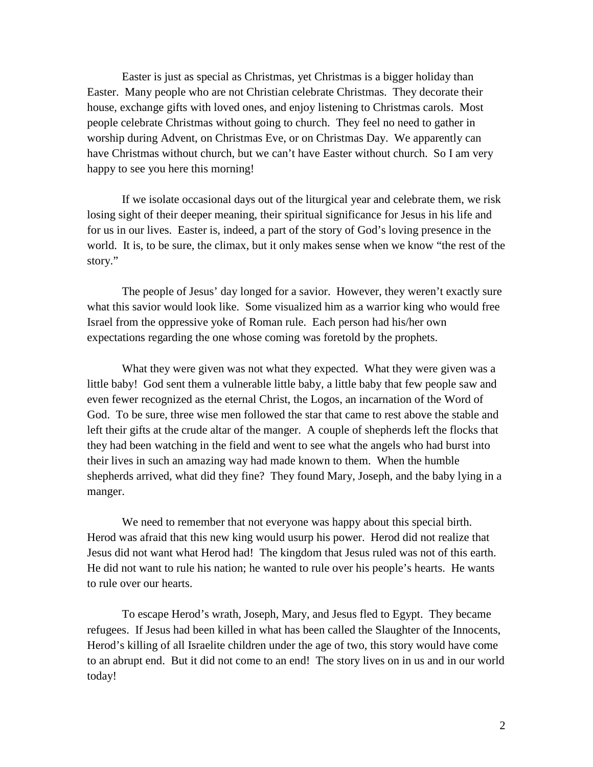Easter is just as special as Christmas, yet Christmas is a bigger holiday than Easter. Many people who are not Christian celebrate Christmas. They decorate their house, exchange gifts with loved ones, and enjoy listening to Christmas carols. Most people celebrate Christmas without going to church. They feel no need to gather in worship during Advent, on Christmas Eve, or on Christmas Day. We apparently can have Christmas without church, but we can't have Easter without church. So I am very happy to see you here this morning!

If we isolate occasional days out of the liturgical year and celebrate them, we risk losing sight of their deeper meaning, their spiritual significance for Jesus in his life and for us in our lives. Easter is, indeed, a part of the story of God's loving presence in the world. It is, to be sure, the climax, but it only makes sense when we know "the rest of the story."

The people of Jesus' day longed for a savior. However, they weren't exactly sure what this savior would look like. Some visualized him as a warrior king who would free Israel from the oppressive yoke of Roman rule. Each person had his/her own expectations regarding the one whose coming was foretold by the prophets.

What they were given was not what they expected. What they were given was a little baby! God sent them a vulnerable little baby, a little baby that few people saw and even fewer recognized as the eternal Christ, the Logos, an incarnation of the Word of God. To be sure, three wise men followed the star that came to rest above the stable and left their gifts at the crude altar of the manger. A couple of shepherds left the flocks that they had been watching in the field and went to see what the angels who had burst into their lives in such an amazing way had made known to them. When the humble shepherds arrived, what did they fine? They found Mary, Joseph, and the baby lying in a manger.

We need to remember that not everyone was happy about this special birth. Herod was afraid that this new king would usurp his power. Herod did not realize that Jesus did not want what Herod had! The kingdom that Jesus ruled was not of this earth. He did not want to rule his nation; he wanted to rule over his people's hearts. He wants to rule over our hearts.

To escape Herod's wrath, Joseph, Mary, and Jesus fled to Egypt. They became refugees. If Jesus had been killed in what has been called the Slaughter of the Innocents, Herod's killing of all Israelite children under the age of two, this story would have come to an abrupt end. But it did not come to an end! The story lives on in us and in our world today!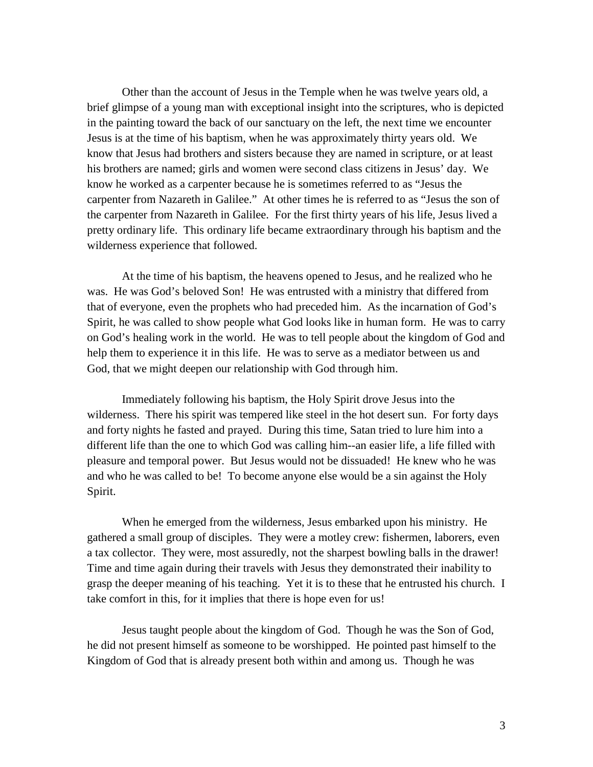Other than the account of Jesus in the Temple when he was twelve years old, a brief glimpse of a young man with exceptional insight into the scriptures, who is depicted in the painting toward the back of our sanctuary on the left, the next time we encounter Jesus is at the time of his baptism, when he was approximately thirty years old. We know that Jesus had brothers and sisters because they are named in scripture, or at least his brothers are named; girls and women were second class citizens in Jesus' day. We know he worked as a carpenter because he is sometimes referred to as "Jesus the carpenter from Nazareth in Galilee." At other times he is referred to as "Jesus the son of the carpenter from Nazareth in Galilee. For the first thirty years of his life, Jesus lived a pretty ordinary life. This ordinary life became extraordinary through his baptism and the wilderness experience that followed.

At the time of his baptism, the heavens opened to Jesus, and he realized who he was. He was God's beloved Son! He was entrusted with a ministry that differed from that of everyone, even the prophets who had preceded him. As the incarnation of God's Spirit, he was called to show people what God looks like in human form. He was to carry on God's healing work in the world. He was to tell people about the kingdom of God and help them to experience it in this life. He was to serve as a mediator between us and God, that we might deepen our relationship with God through him.

Immediately following his baptism, the Holy Spirit drove Jesus into the wilderness. There his spirit was tempered like steel in the hot desert sun. For forty days and forty nights he fasted and prayed. During this time, Satan tried to lure him into a different life than the one to which God was calling him--an easier life, a life filled with pleasure and temporal power. But Jesus would not be dissuaded! He knew who he was and who he was called to be! To become anyone else would be a sin against the Holy Spirit.

When he emerged from the wilderness, Jesus embarked upon his ministry. He gathered a small group of disciples. They were a motley crew: fishermen, laborers, even a tax collector. They were, most assuredly, not the sharpest bowling balls in the drawer! Time and time again during their travels with Jesus they demonstrated their inability to grasp the deeper meaning of his teaching. Yet it is to these that he entrusted his church. I take comfort in this, for it implies that there is hope even for us!

Jesus taught people about the kingdom of God. Though he was the Son of God, he did not present himself as someone to be worshipped. He pointed past himself to the Kingdom of God that is already present both within and among us. Though he was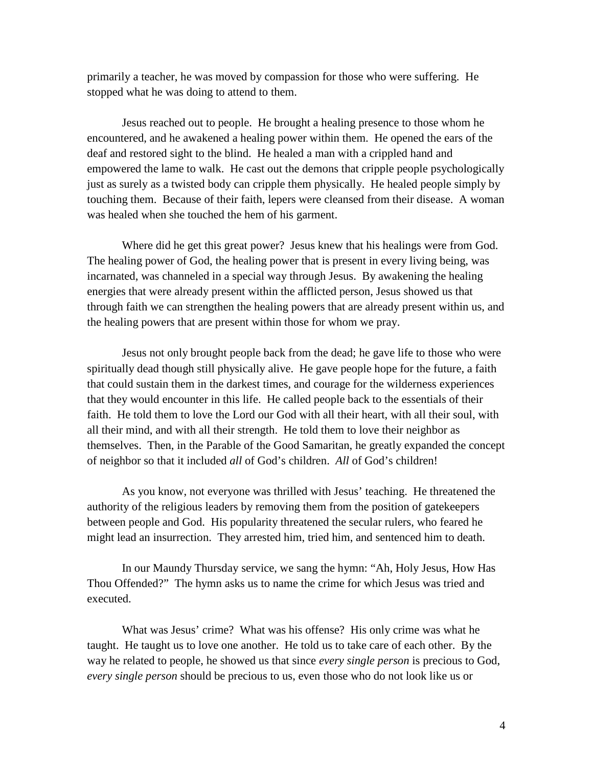primarily a teacher, he was moved by compassion for those who were suffering. He stopped what he was doing to attend to them.

Jesus reached out to people. He brought a healing presence to those whom he encountered, and he awakened a healing power within them. He opened the ears of the deaf and restored sight to the blind. He healed a man with a crippled hand and empowered the lame to walk. He cast out the demons that cripple people psychologically just as surely as a twisted body can cripple them physically. He healed people simply by touching them. Because of their faith, lepers were cleansed from their disease. A woman was healed when she touched the hem of his garment.

Where did he get this great power? Jesus knew that his healings were from God. The healing power of God, the healing power that is present in every living being, was incarnated, was channeled in a special way through Jesus. By awakening the healing energies that were already present within the afflicted person, Jesus showed us that through faith we can strengthen the healing powers that are already present within us, and the healing powers that are present within those for whom we pray.

Jesus not only brought people back from the dead; he gave life to those who were spiritually dead though still physically alive. He gave people hope for the future, a faith that could sustain them in the darkest times, and courage for the wilderness experiences that they would encounter in this life. He called people back to the essentials of their faith. He told them to love the Lord our God with all their heart, with all their soul, with all their mind, and with all their strength. He told them to love their neighbor as themselves. Then, in the Parable of the Good Samaritan, he greatly expanded the concept of neighbor so that it included *all* of God's children. *All* of God's children!

As you know, not everyone was thrilled with Jesus' teaching. He threatened the authority of the religious leaders by removing them from the position of gatekeepers between people and God. His popularity threatened the secular rulers, who feared he might lead an insurrection. They arrested him, tried him, and sentenced him to death.

In our Maundy Thursday service, we sang the hymn: "Ah, Holy Jesus, How Has Thou Offended?" The hymn asks us to name the crime for which Jesus was tried and executed.

What was Jesus' crime? What was his offense? His only crime was what he taught. He taught us to love one another. He told us to take care of each other. By the way he related to people, he showed us that since *every single person* is precious to God, *every single person* should be precious to us, even those who do not look like us or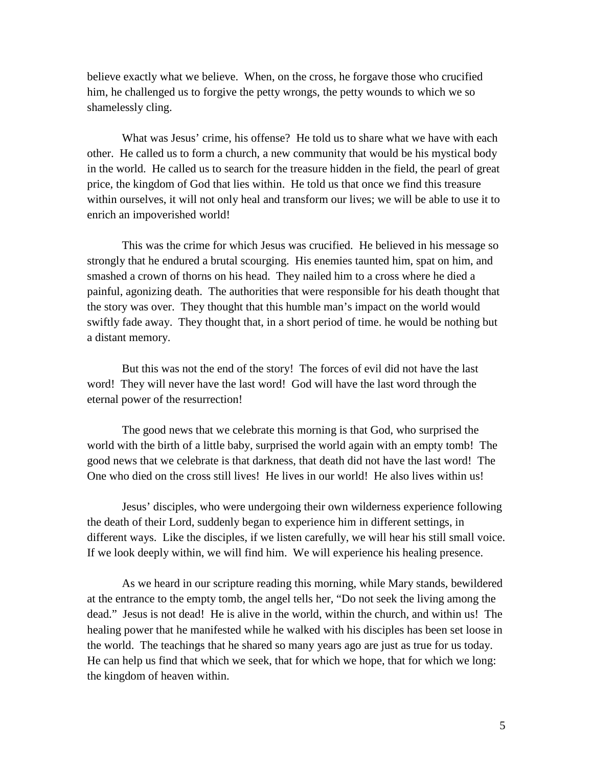believe exactly what we believe. When, on the cross, he forgave those who crucified him, he challenged us to forgive the petty wrongs, the petty wounds to which we so shamelessly cling.

What was Jesus' crime, his offense? He told us to share what we have with each other. He called us to form a church, a new community that would be his mystical body in the world. He called us to search for the treasure hidden in the field, the pearl of great price, the kingdom of God that lies within. He told us that once we find this treasure within ourselves, it will not only heal and transform our lives; we will be able to use it to enrich an impoverished world!

This was the crime for which Jesus was crucified. He believed in his message so strongly that he endured a brutal scourging. His enemies taunted him, spat on him, and smashed a crown of thorns on his head. They nailed him to a cross where he died a painful, agonizing death. The authorities that were responsible for his death thought that the story was over. They thought that this humble man's impact on the world would swiftly fade away. They thought that, in a short period of time. he would be nothing but a distant memory.

But this was not the end of the story! The forces of evil did not have the last word! They will never have the last word! God will have the last word through the eternal power of the resurrection!

The good news that we celebrate this morning is that God, who surprised the world with the birth of a little baby, surprised the world again with an empty tomb! The good news that we celebrate is that darkness, that death did not have the last word! The One who died on the cross still lives! He lives in our world! He also lives within us!

Jesus' disciples, who were undergoing their own wilderness experience following the death of their Lord, suddenly began to experience him in different settings, in different ways. Like the disciples, if we listen carefully, we will hear his still small voice. If we look deeply within, we will find him. We will experience his healing presence.

As we heard in our scripture reading this morning, while Mary stands, bewildered at the entrance to the empty tomb, the angel tells her, "Do not seek the living among the dead." Jesus is not dead! He is alive in the world, within the church, and within us! The healing power that he manifested while he walked with his disciples has been set loose in the world. The teachings that he shared so many years ago are just as true for us today. He can help us find that which we seek, that for which we hope, that for which we long: the kingdom of heaven within.